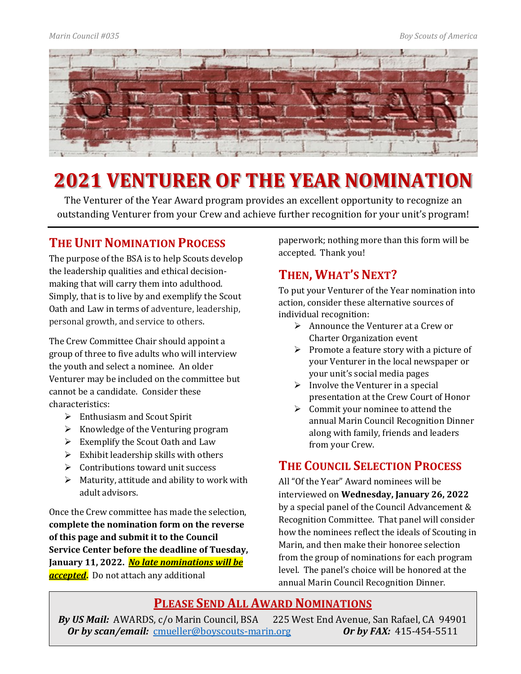

# **2021 VENTURER OF THE YEAR NOMINATION**

The Venturer of the Year Award program provides an excellent opportunity to recognize an outstanding Venturer from your Crew and achieve further recognition for your unit's program!

## **THE UNIT NOMINATION PROCESS**

The purpose of the BSA is to help Scouts develop the leadership qualities and ethical decisionmaking that will carry them into adulthood. Simply, that is to live by and exemplify the Scout Oath and Law in terms of adventure, leadership, personal growth, and service to others.

The Crew Committee Chair should appoint a group of three to five adults who will interview the youth and select a nominee. An older Venturer may be included on the committee but cannot be a candidate. Consider these characteristics:

- $\triangleright$  Enthusiasm and Scout Spirit
- $\triangleright$  Knowledge of the Venturing program
- $\triangleright$  Exemplify the Scout Oath and Law
- $\triangleright$  Exhibit leadership skills with others
- $\triangleright$  Contributions toward unit success
- $\triangleright$  Maturity, attitude and ability to work with adult advisors.

Once the Crew committee has made the selection, **complete the nomination form on the reverse of this page and submit it to the Council Service Center before the deadline of Tuesday, January 11, 2022.** *No late nominations will be accepted***.** Do not attach any additional

paperwork; nothing more than this form will be accepted. Thank you!

## **THEN, WHAT'S NEXT?**

To put your Venturer of the Year nomination into action, consider these alternative sources of individual recognition:

- $\triangleright$  Announce the Venturer at a Crew or Charter Organization event
- $\triangleright$  Promote a feature story with a picture of your Venturer in the local newspaper or your unit's social media pages
- $\triangleright$  Involve the Venturer in a special presentation at the Crew Court of Honor
- $\triangleright$  Commit your nominee to attend the annual Marin Council Recognition Dinner along with family, friends and leaders from your Crew.

## **THE COUNCIL SELECTION PROCESS**

All "Of the Year" Award nominees will be interviewed on **Wednesday, January 26, 2022** by a special panel of the Council Advancement & Recognition Committee. That panel will consider how the nominees reflect the ideals of Scouting in Marin, and then make their honoree selection from the group of nominations for each program level. The panel's choice will be honored at the annual Marin Council Recognition Dinner.

## **PLEASE SEND ALL AWARD NOMINATIONS**

*By US Mail:* AWARDS, c/o Marin Council, BSA 225 West End Avenue, San Rafael, CA 94901<br>*Or by scan/email:* cmueller@boyscouts-marin.org *Or by FAX:* 415-454-5511 *Or by scan/email: [cmueller@boyscouts-marin.org](mailto:cmueller@boyscouts-marin.org)*